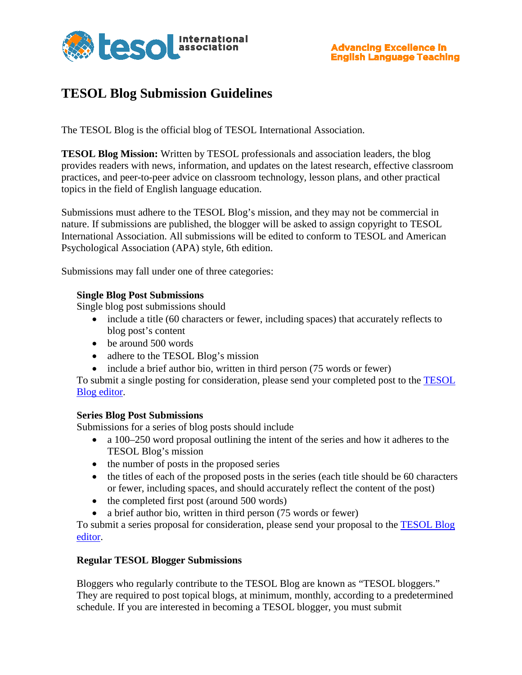

## **TESOL Blog Submission Guidelines**

The TESOL Blog is the official blog of TESOL International Association.

**TESOL Blog Mission:** Written by TESOL professionals and association leaders, the blog provides readers with news, information, and updates on the latest research, effective classroom practices, and peer-to-peer advice on classroom technology, lesson plans, and other practical topics in the field of English language education.

Submissions must adhere to the TESOL Blog's mission, and they may not be commercial in nature. If submissions are published, the blogger will be asked to assign copyright to TESOL International Association. All submissions will be edited to conform to TESOL and American Psychological Association (APA) style, 6th edition.

Submissions may fall under one of three categories:

## **Single Blog Post Submissions**

Single blog post submissions should

- include a title (60 characters or fewer, including spaces) that accurately reflects to blog post's content
- be around 500 words
- adhere to the TESOL Blog's mission
- include a brief author bio, written in third person (75 words or fewer)

To submit a single posting for consideration, please send your completed post to the [TESOL](mailto:tbreland@tesol.org)  [Blog editor.](mailto:tbreland@tesol.org)

## **Series Blog Post Submissions**

Submissions for a series of blog posts should include

- a 100–250 word proposal outlining the intent of the series and how it adheres to the TESOL Blog's mission
- the number of posts in the proposed series
- the titles of each of the proposed posts in the series (each title should be 60 characters or fewer, including spaces, and should accurately reflect the content of the post)
- the completed first post (around 500 words)
- a brief author bio, written in third person (75 words or fewer)

To submit a series proposal for consideration, please send your proposal to the [TESOL Blog](mailto:tbreland@tesol.org)  [editor.](mailto:tbreland@tesol.org)

## **Regular TESOL Blogger Submissions**

Bloggers who regularly contribute to the TESOL Blog are known as "TESOL bloggers." They are required to post topical blogs, at minimum, monthly, according to a predetermined schedule. If you are interested in becoming a TESOL blogger, you must submit